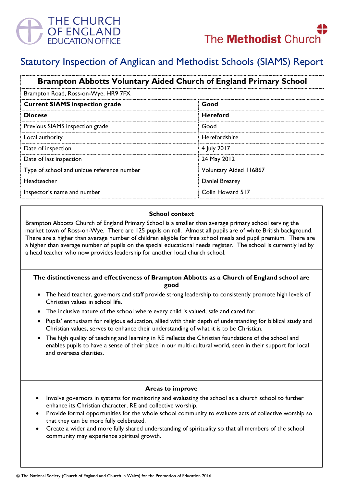

# Statutory Inspection of Anglican and Methodist Schools (SIAMS) Report

| <b>Brampton Abbotts Voluntary Aided Church of England Primary School</b> |                               |
|--------------------------------------------------------------------------|-------------------------------|
| Brampton Road, Ross-on-Wye, HR9 7FX                                      |                               |
| <b>Current SIAMS inspection grade</b>                                    | Good                          |
| <b>Diocese</b>                                                           | <b>Hereford</b>               |
| Previous SIAMS inspection grade                                          | Good                          |
| Local authority                                                          | Herefordshire                 |
| Date of inspection                                                       | 4 July 2017                   |
| Date of last inspection                                                  | 24 May 2012                   |
| Type of school and unique reference number                               | <b>Voluntary Aided 116867</b> |
| Headteacher                                                              | Daniel Brearey                |
| Inspector's name and number                                              | Colin Howard 517              |

### **School context**

Brampton Abbotts Church of England Primary School is a smaller than average primary school serving the market town of Ross-on-Wye. There are 125 pupils on roll. Almost all pupils are of white British background. There are a higher than average number of children eligible for free school meals and pupil premium. There are a higher than average number of pupils on the special educational needs register. The school is currently led by a head teacher who now provides leadership for another local church school.

# **The distinctiveness and effectiveness of Brampton Abbotts as a Church of England school are good**

- The head teacher, governors and staff provide strong leadership to consistently promote high levels of Christian values in school life.
- The inclusive nature of the school where every child is valued, safe and cared for.
- Pupils' enthusiasm for religious education, allied with their depth of understanding for biblical study and Christian values, serves to enhance their understanding of what it is to be Christian.
- The high quality of teaching and learning in RE reflects the Christian foundations of the school and enables pupils to have a sense of their place in our multi-cultural world, seen in their support for local and overseas charities.

# **Areas to improve**

- Involve governors in systems for monitoring and evaluating the school as a church school to further enhance its Christian character, RE and collective worship.
- Provide formal opportunities for the whole school community to evaluate acts of collective worship so that they can be more fully celebrated.
- Create a wider and more fully shared understanding of spirituality so that all members of the school community may experience spiritual growth.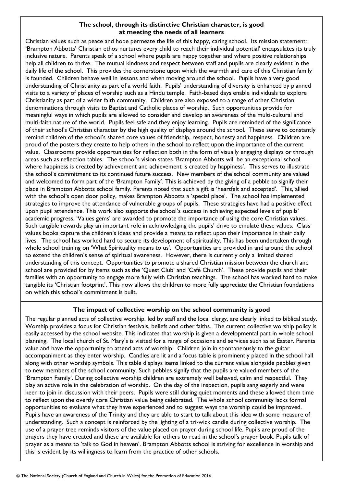# **The school, through its distinctive Christian character, is good at meeting the needs of all learners**

Christian values such as peace and hope permeate the life of this happy, caring school. Its mission statement: 'Brampton Abbotts' Christian ethos nurtures every child to reach their individual potential' encapsulates its truly inclusive nature. Parents speak of a school where pupils are happy together and where positive relationships help all children to thrive. The mutual kindness and respect between staff and pupils are clearly evident in the daily life of the school. This provides the cornerstone upon which the warmth and care of this Christian family is founded. Children behave well in lessons and when moving around the school. Pupils have a very good understanding of Christianity as part of a world faith. Pupils' understanding of diversity is enhanced by planned visits to a variety of places of worship such as a Hindu temple. Faith-based days enable individuals to explore Christianity as part of a wider faith community. Children are also exposed to a range of other Christian denominations through visits to Baptist and Catholic places of worship. Such opportunities provide for meaningful ways in which pupils are allowed to consider and develop an awareness of the multi-cultural and multi-faith nature of the world. Pupils feel safe and they enjoy learning. Pupils are reminded of the significance of their school's Christian character by the high quality of displays around the school. These serve to constantly remind children of the school's shared core values of friendship, respect, honesty and happiness. Children are proud of the posters they create to help others in the school to reflect upon the importance of the current value. Classrooms provide opportunities for reflection both in the form of visually engaging displays or through areas such as reflection tables. The school's vision states 'Brampton Abbotts will be an exceptional school where happiness is created by achievement and achievement is created by happiness'. This serves to illustrate the school's commitment to its continued future success. New members of the school community are valued and welcomed to form part of the 'Brampton Family'. This is achieved by the giving of a pebble to signify their place in Brampton Abbotts school family. Parents noted that such a gift is 'heartfelt and accepted'. This, allied with the school's open door policy, makes Brampton Abbotts a 'special place'. The school has implemented strategies to improve the attendance of vulnerable groups of pupils. These strategies have had a positive effect upon pupil attendance. This work also supports the school's success in achieving expected levels of pupils' academic progress. 'Values gems' are awarded to promote the importance of using the core Christian values. Such tangible rewards play an important role in acknowledging the pupils' drive to emulate these values. Class values books capture the children's ideas and provide a means to reflect upon their importance in their daily lives. The school has worked hard to secure its development of spirituality. This has been undertaken through whole school training on 'What Spirituality means to us'. Opportunities are provided in and around the school to extend the children's sense of spiritual awareness. However, there is currently only a limited shared understanding of this concept. Opportunities to promote a shared Christian mission between the church and school are provided for by items such as the 'Quest Club' and 'Café Church'. These provide pupils and their families with an opportunity to engage more fully with Christian teachings. The school has worked hard to make tangible its 'Christian footprint'. This now allows the children to more fully appreciate the Christian foundations on which this school's commitment is built.

# **The impact of collective worship on the school community is good**

The regular planned acts of collective worship, led by staff and the local clergy, are clearly linked to biblical study. Worship provides a focus for Christian festivals, beliefs and other faiths. The current collective worship policy is easily accessed by the school website. This indicates that worship is given a developmental part in whole school planning. The local church of St. Mary's is visited for a range of occasions and services such as at Easter. Parents value and have the opportunity to attend acts of worship. Children join in spontaneously to the guitar accompaniment as they enter worship. Candles are lit and a focus table is prominently placed in the school hall along with other worship symbols. This table displays items linked to the current value alongside pebbles given to new members of the school community. Such pebbles signify that the pupils are valued members of the 'Brampton Family'. During collective worship children are extremely well behaved, calm and respectful. They play an active role in the celebration of worship. On the day of the inspection, pupils sang eagerly and were keen to join in discussion with their peers. Pupils were still during quiet moments and these allowed them time to reflect upon the overtly core Christian value being celebrated. The whole school community lacks formal opportunities to evaluate what they have experienced and to suggest ways the worship could be improved. Pupils have an awareness of the Trinity and they are able to start to talk about this idea with some measure of understanding. Such a concept is reinforced by the lighting of a tri-wick candle during collective worship. The use of a prayer tree reminds visitors of the value placed on prayer during school life. Pupils are proud of the prayers they have created and these are available for others to read in the school's prayer book. Pupils talk of prayer as a means to 'talk to God in heaven'. Brampton Abbotts school is striving for excellence in worship and this is evident by its willingness to learn from the practice of other schools.